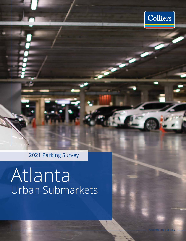

2021 Parking Survey

# Atlanta Urban Submarkets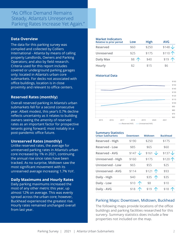### "As Office Demand Remains Steady, Atlanta's Unreserved Parking Rates Increase Yet Again."

### **Data Overview**

The data for this parking survey was compiled and collected by Colliers International - Atlanta by means of calling property Landlords, Owners and Parking Operators; and also by field research. Criteria used for this report includes covered or underground parking garages only; located in Atlanta's urban core submarkets. For decks not associated with office buildings, location is in close proximity and relevant to office centers.

### **Reserved Rates (monthly)**

Overall reserved parking in Atlanta's urban submarkets fell for a second consecutive year. Albeit modest, this year's 0.7% decline reflects uncertainty as it relates to building owners seeing the amenity of reserved rates as an important factor for prospective tenants going forward; most notably in a post-pandemic office future.

### **Unreserved Rates (monthly)**

Unlike reserved rates, the average for unreserved parking rates in Atlanta's urban core increased by 1% in 2021, continuing the annual rise since rates have been tracked. As no surprise, Midtown saw the most significant movement with its unreserved average increasing 1.7% YoY.

### **Daily Maximums and Hourly Rates**

Daily parking maximums increased the most of any other metric this year, up almost 12% on average. This was evenly spread across the urban core; however, Buckhead experienced the greatest rise. Hourly rates remained unchanged overall from last year.

### **Market Indicators Relative to prior period Low High AVG Reserved** \$60 \$250 \$148 **Unreserved** \$25 \$175 \$110 **Daily Max**  $\begin{array}{ccc} 19 & 20 & 20 \\ 20 & 20 & 20 \\ 20 & 20 & 20 \\ 20 & 20 & 20 \\ 20 & 20 & 20 \\ 20 & 20 & 20 \\ 20 & 20 & 20 \\ 20 & 20 & 20 \\ 20 & 20 & 20 \\ 20 & 20 & 20 \\ 20 & 20 & 20 \\ 20 & 20 & 20 \\ 20 & 20 & 20 \\ 20 & 20 & 20 \\ 20 & 20 & 20 \\ 20 & 20 & 20 \\ 20 & 20 & 2$ **Hourly**  $$2$   $$15$   $$6$

### **Historical Data**



#### **Summary Statistics**

| <b>Urban Submarkets</b> | <b>Downtown</b> | <b>Midtown</b> | <b>Buckhead</b> |
|-------------------------|-----------------|----------------|-----------------|
| Reserved - High         | \$190           | \$250          | \$175           |
| Reserved - Low          | \$85            | \$65           | \$60            |
| Reserved - AVG          | $$147 \sqrt$    | $$161 \sqrt$   | $$137 \sqrt$    |
| Unreserved - High       | \$160           | \$175          | \$120 个         |
| <b>Unreserved - Low</b> | \$65            | \$55           | \$25            |
| <b>Unreserved - AVG</b> | \$114           | \$121 个        | \$93            |
| Daily - High            | \$40            | \$35<br>个      | \$35            |
| Daily - Low             | 个<br>\$10       | \$8            | \$10            |
| Daily - AVG             | \$18            | \$19           | \$18            |

### Parking Maps: Downtown, Midtown, Buckhead

The following maps provide locations of the office buildings and parking facilities researched for this survery. Summary statistics does include a few properties not included on the map.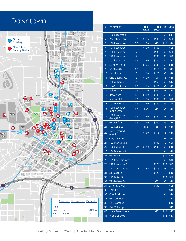### Downtown



**West Peachtree St NW**

| \$7<br>\$14<br>100 Edgewood<br>3<br>1<br><b>Peachtree Center</b><br>3.1<br>\$155<br>\$100<br>\$8<br>\$20<br>$\overline{2}$<br>3.3<br>\$12<br>3<br>200 Peachtree<br>\$130<br>\$75<br>\$20<br>4<br>191 Peachtree<br>\$190<br>\$160<br>\$4<br>\$25<br>1<br>5<br>260 Peachtree<br>$\overline{2}$<br>\$130<br>\$5<br>\$20<br>6<br>270 Peachtree<br>$\overline{2}$<br>\$130<br>\$5<br>\$20<br>30 Allen Plaza<br>1.5<br>\$180<br>\$130<br>\$4<br>\$12<br>7<br>8<br>55 Allen Plaza<br>1<br>\$165<br>\$135<br>\$6<br>\$18<br>1.5<br>9<br>55 Marietta<br>\$115<br>\$5<br>\$11<br>10<br><b>Hurt Plaza</b><br>2<br>\$160<br>\$120<br>\$6<br>\$18<br>11<br>One Georgia Ctr.<br>3<br>\$90<br>\$6<br>\$18<br>\$120<br>250 Williams<br>1<br>12<br>\$150<br>\$9<br>\$12<br>13<br><b>SunTrust Plaza</b><br>1.5<br>\$125<br>\$8<br>\$25<br>\$165<br>14<br>0.5<br><b>Baltimore Row</b><br>\$120<br>\$100<br>\$3<br>\$18<br>15<br><b>BofA Plaza</b><br>1.1<br>\$180<br>\$148<br>\$8<br>\$24<br>16<br>Marquis I & II<br>3.1<br>\$170<br>\$100<br>\$8<br>\$20<br>17<br>101 Marietta St.<br>1.5<br>\$160<br>\$120<br>\$6<br>\$20<br>100 Peachtree<br>18<br>1.5<br>\$95<br>\$75<br>\$6<br>\$10<br>-Cone Street<br>100 Peachtree<br>19<br>1.5<br>\$160<br>\$140<br>\$8<br>\$15<br>-Forsyth St<br><b>GA-Pacific Ctr.</b><br>1.5<br>20<br>\$140<br>\$100<br>\$6<br>\$16<br>\$65<br>21<br>102 Cone St<br>\$85<br>\$6<br>\$10<br>Underground<br>22<br>\$160<br>\$115<br>\$6<br>\$16<br>Atlanta<br>23<br>104 John Portman<br>\$9<br>\$20<br>24<br>123 Marietta St<br>\$100<br>\$6<br>\$20<br>100 Luckie St<br>4.24<br>25<br>\$110<br>\$100<br>\$7<br>\$18<br>104 Marietta St<br>26<br>\$4<br>\$10<br>27<br>98 Cone St<br>\$10<br>\$15<br>28<br>171 Carnegie Way<br>\$9<br>\$40<br>29<br>218 Peachtree St<br>\$120<br>\$10<br>\$25<br>\$115<br>\$8<br>30<br>227 Courtland St<br>1.28<br>\$135<br>\$20<br>31 Baker St<br>31<br>\$120<br>\$10<br>\$10<br>32<br>275 Baker St.<br>\$36<br>\$85<br>33<br>79 Marietta St<br>\$6<br>\$10<br>34<br>\$4<br>America's Mart<br>\$130<br>\$25<br>35<br><b>CNN Center</b><br>\$10<br><b>Crawford Long</b><br>\$4<br>\$16<br>36<br>37<br>\$17<br><b>GA Aquarium</b><br>38<br>\$10<br><b>GSU Campus</b><br>39<br><b>GWCC Campus</b><br>\$15<br>40<br>\$95<br>\$10<br><b>State Farm Arena</b><br>\$15<br>41<br>World of Coke<br>\$12<br>\$17 | # | <b>PROPERTY</b> | RES.<br>(Mo.) | UNRES. HR.<br>(Mo.) | <b>MAX</b> |
|----------------------------------------------------------------------------------------------------------------------------------------------------------------------------------------------------------------------------------------------------------------------------------------------------------------------------------------------------------------------------------------------------------------------------------------------------------------------------------------------------------------------------------------------------------------------------------------------------------------------------------------------------------------------------------------------------------------------------------------------------------------------------------------------------------------------------------------------------------------------------------------------------------------------------------------------------------------------------------------------------------------------------------------------------------------------------------------------------------------------------------------------------------------------------------------------------------------------------------------------------------------------------------------------------------------------------------------------------------------------------------------------------------------------------------------------------------------------------------------------------------------------------------------------------------------------------------------------------------------------------------------------------------------------------------------------------------------------------------------------------------------------------------------------------------------------------------------------------------------------------------------------------------------------------------------------------------------------------------------------------------------------------------------------------------------------------------------------------------------------------------------------------------------------------------------------------------------------------------------------------------------------------------------------------------------------------------------------|---|-----------------|---------------|---------------------|------------|
|                                                                                                                                                                                                                                                                                                                                                                                                                                                                                                                                                                                                                                                                                                                                                                                                                                                                                                                                                                                                                                                                                                                                                                                                                                                                                                                                                                                                                                                                                                                                                                                                                                                                                                                                                                                                                                                                                                                                                                                                                                                                                                                                                                                                                                                                                                                                              |   |                 |               |                     |            |
|                                                                                                                                                                                                                                                                                                                                                                                                                                                                                                                                                                                                                                                                                                                                                                                                                                                                                                                                                                                                                                                                                                                                                                                                                                                                                                                                                                                                                                                                                                                                                                                                                                                                                                                                                                                                                                                                                                                                                                                                                                                                                                                                                                                                                                                                                                                                              |   |                 |               |                     |            |
|                                                                                                                                                                                                                                                                                                                                                                                                                                                                                                                                                                                                                                                                                                                                                                                                                                                                                                                                                                                                                                                                                                                                                                                                                                                                                                                                                                                                                                                                                                                                                                                                                                                                                                                                                                                                                                                                                                                                                                                                                                                                                                                                                                                                                                                                                                                                              |   |                 |               |                     |            |
|                                                                                                                                                                                                                                                                                                                                                                                                                                                                                                                                                                                                                                                                                                                                                                                                                                                                                                                                                                                                                                                                                                                                                                                                                                                                                                                                                                                                                                                                                                                                                                                                                                                                                                                                                                                                                                                                                                                                                                                                                                                                                                                                                                                                                                                                                                                                              |   |                 |               |                     |            |
|                                                                                                                                                                                                                                                                                                                                                                                                                                                                                                                                                                                                                                                                                                                                                                                                                                                                                                                                                                                                                                                                                                                                                                                                                                                                                                                                                                                                                                                                                                                                                                                                                                                                                                                                                                                                                                                                                                                                                                                                                                                                                                                                                                                                                                                                                                                                              |   |                 |               |                     |            |
|                                                                                                                                                                                                                                                                                                                                                                                                                                                                                                                                                                                                                                                                                                                                                                                                                                                                                                                                                                                                                                                                                                                                                                                                                                                                                                                                                                                                                                                                                                                                                                                                                                                                                                                                                                                                                                                                                                                                                                                                                                                                                                                                                                                                                                                                                                                                              |   |                 |               |                     |            |
|                                                                                                                                                                                                                                                                                                                                                                                                                                                                                                                                                                                                                                                                                                                                                                                                                                                                                                                                                                                                                                                                                                                                                                                                                                                                                                                                                                                                                                                                                                                                                                                                                                                                                                                                                                                                                                                                                                                                                                                                                                                                                                                                                                                                                                                                                                                                              |   |                 |               |                     |            |
|                                                                                                                                                                                                                                                                                                                                                                                                                                                                                                                                                                                                                                                                                                                                                                                                                                                                                                                                                                                                                                                                                                                                                                                                                                                                                                                                                                                                                                                                                                                                                                                                                                                                                                                                                                                                                                                                                                                                                                                                                                                                                                                                                                                                                                                                                                                                              |   |                 |               |                     |            |
|                                                                                                                                                                                                                                                                                                                                                                                                                                                                                                                                                                                                                                                                                                                                                                                                                                                                                                                                                                                                                                                                                                                                                                                                                                                                                                                                                                                                                                                                                                                                                                                                                                                                                                                                                                                                                                                                                                                                                                                                                                                                                                                                                                                                                                                                                                                                              |   |                 |               |                     |            |
|                                                                                                                                                                                                                                                                                                                                                                                                                                                                                                                                                                                                                                                                                                                                                                                                                                                                                                                                                                                                                                                                                                                                                                                                                                                                                                                                                                                                                                                                                                                                                                                                                                                                                                                                                                                                                                                                                                                                                                                                                                                                                                                                                                                                                                                                                                                                              |   |                 |               |                     |            |
|                                                                                                                                                                                                                                                                                                                                                                                                                                                                                                                                                                                                                                                                                                                                                                                                                                                                                                                                                                                                                                                                                                                                                                                                                                                                                                                                                                                                                                                                                                                                                                                                                                                                                                                                                                                                                                                                                                                                                                                                                                                                                                                                                                                                                                                                                                                                              |   |                 |               |                     |            |
|                                                                                                                                                                                                                                                                                                                                                                                                                                                                                                                                                                                                                                                                                                                                                                                                                                                                                                                                                                                                                                                                                                                                                                                                                                                                                                                                                                                                                                                                                                                                                                                                                                                                                                                                                                                                                                                                                                                                                                                                                                                                                                                                                                                                                                                                                                                                              |   |                 |               |                     |            |
|                                                                                                                                                                                                                                                                                                                                                                                                                                                                                                                                                                                                                                                                                                                                                                                                                                                                                                                                                                                                                                                                                                                                                                                                                                                                                                                                                                                                                                                                                                                                                                                                                                                                                                                                                                                                                                                                                                                                                                                                                                                                                                                                                                                                                                                                                                                                              |   |                 |               |                     |            |
|                                                                                                                                                                                                                                                                                                                                                                                                                                                                                                                                                                                                                                                                                                                                                                                                                                                                                                                                                                                                                                                                                                                                                                                                                                                                                                                                                                                                                                                                                                                                                                                                                                                                                                                                                                                                                                                                                                                                                                                                                                                                                                                                                                                                                                                                                                                                              |   |                 |               |                     |            |
|                                                                                                                                                                                                                                                                                                                                                                                                                                                                                                                                                                                                                                                                                                                                                                                                                                                                                                                                                                                                                                                                                                                                                                                                                                                                                                                                                                                                                                                                                                                                                                                                                                                                                                                                                                                                                                                                                                                                                                                                                                                                                                                                                                                                                                                                                                                                              |   |                 |               |                     |            |
|                                                                                                                                                                                                                                                                                                                                                                                                                                                                                                                                                                                                                                                                                                                                                                                                                                                                                                                                                                                                                                                                                                                                                                                                                                                                                                                                                                                                                                                                                                                                                                                                                                                                                                                                                                                                                                                                                                                                                                                                                                                                                                                                                                                                                                                                                                                                              |   |                 |               |                     |            |
|                                                                                                                                                                                                                                                                                                                                                                                                                                                                                                                                                                                                                                                                                                                                                                                                                                                                                                                                                                                                                                                                                                                                                                                                                                                                                                                                                                                                                                                                                                                                                                                                                                                                                                                                                                                                                                                                                                                                                                                                                                                                                                                                                                                                                                                                                                                                              |   |                 |               |                     |            |
|                                                                                                                                                                                                                                                                                                                                                                                                                                                                                                                                                                                                                                                                                                                                                                                                                                                                                                                                                                                                                                                                                                                                                                                                                                                                                                                                                                                                                                                                                                                                                                                                                                                                                                                                                                                                                                                                                                                                                                                                                                                                                                                                                                                                                                                                                                                                              |   |                 |               |                     |            |
|                                                                                                                                                                                                                                                                                                                                                                                                                                                                                                                                                                                                                                                                                                                                                                                                                                                                                                                                                                                                                                                                                                                                                                                                                                                                                                                                                                                                                                                                                                                                                                                                                                                                                                                                                                                                                                                                                                                                                                                                                                                                                                                                                                                                                                                                                                                                              |   |                 |               |                     |            |
|                                                                                                                                                                                                                                                                                                                                                                                                                                                                                                                                                                                                                                                                                                                                                                                                                                                                                                                                                                                                                                                                                                                                                                                                                                                                                                                                                                                                                                                                                                                                                                                                                                                                                                                                                                                                                                                                                                                                                                                                                                                                                                                                                                                                                                                                                                                                              |   |                 |               |                     |            |
|                                                                                                                                                                                                                                                                                                                                                                                                                                                                                                                                                                                                                                                                                                                                                                                                                                                                                                                                                                                                                                                                                                                                                                                                                                                                                                                                                                                                                                                                                                                                                                                                                                                                                                                                                                                                                                                                                                                                                                                                                                                                                                                                                                                                                                                                                                                                              |   |                 |               |                     |            |
|                                                                                                                                                                                                                                                                                                                                                                                                                                                                                                                                                                                                                                                                                                                                                                                                                                                                                                                                                                                                                                                                                                                                                                                                                                                                                                                                                                                                                                                                                                                                                                                                                                                                                                                                                                                                                                                                                                                                                                                                                                                                                                                                                                                                                                                                                                                                              |   |                 |               |                     |            |
|                                                                                                                                                                                                                                                                                                                                                                                                                                                                                                                                                                                                                                                                                                                                                                                                                                                                                                                                                                                                                                                                                                                                                                                                                                                                                                                                                                                                                                                                                                                                                                                                                                                                                                                                                                                                                                                                                                                                                                                                                                                                                                                                                                                                                                                                                                                                              |   |                 |               |                     |            |
|                                                                                                                                                                                                                                                                                                                                                                                                                                                                                                                                                                                                                                                                                                                                                                                                                                                                                                                                                                                                                                                                                                                                                                                                                                                                                                                                                                                                                                                                                                                                                                                                                                                                                                                                                                                                                                                                                                                                                                                                                                                                                                                                                                                                                                                                                                                                              |   |                 |               |                     |            |
|                                                                                                                                                                                                                                                                                                                                                                                                                                                                                                                                                                                                                                                                                                                                                                                                                                                                                                                                                                                                                                                                                                                                                                                                                                                                                                                                                                                                                                                                                                                                                                                                                                                                                                                                                                                                                                                                                                                                                                                                                                                                                                                                                                                                                                                                                                                                              |   |                 |               |                     |            |
|                                                                                                                                                                                                                                                                                                                                                                                                                                                                                                                                                                                                                                                                                                                                                                                                                                                                                                                                                                                                                                                                                                                                                                                                                                                                                                                                                                                                                                                                                                                                                                                                                                                                                                                                                                                                                                                                                                                                                                                                                                                                                                                                                                                                                                                                                                                                              |   |                 |               |                     |            |
|                                                                                                                                                                                                                                                                                                                                                                                                                                                                                                                                                                                                                                                                                                                                                                                                                                                                                                                                                                                                                                                                                                                                                                                                                                                                                                                                                                                                                                                                                                                                                                                                                                                                                                                                                                                                                                                                                                                                                                                                                                                                                                                                                                                                                                                                                                                                              |   |                 |               |                     |            |
|                                                                                                                                                                                                                                                                                                                                                                                                                                                                                                                                                                                                                                                                                                                                                                                                                                                                                                                                                                                                                                                                                                                                                                                                                                                                                                                                                                                                                                                                                                                                                                                                                                                                                                                                                                                                                                                                                                                                                                                                                                                                                                                                                                                                                                                                                                                                              |   |                 |               |                     |            |
|                                                                                                                                                                                                                                                                                                                                                                                                                                                                                                                                                                                                                                                                                                                                                                                                                                                                                                                                                                                                                                                                                                                                                                                                                                                                                                                                                                                                                                                                                                                                                                                                                                                                                                                                                                                                                                                                                                                                                                                                                                                                                                                                                                                                                                                                                                                                              |   |                 |               |                     |            |
|                                                                                                                                                                                                                                                                                                                                                                                                                                                                                                                                                                                                                                                                                                                                                                                                                                                                                                                                                                                                                                                                                                                                                                                                                                                                                                                                                                                                                                                                                                                                                                                                                                                                                                                                                                                                                                                                                                                                                                                                                                                                                                                                                                                                                                                                                                                                              |   |                 |               |                     |            |
|                                                                                                                                                                                                                                                                                                                                                                                                                                                                                                                                                                                                                                                                                                                                                                                                                                                                                                                                                                                                                                                                                                                                                                                                                                                                                                                                                                                                                                                                                                                                                                                                                                                                                                                                                                                                                                                                                                                                                                                                                                                                                                                                                                                                                                                                                                                                              |   |                 |               |                     |            |
|                                                                                                                                                                                                                                                                                                                                                                                                                                                                                                                                                                                                                                                                                                                                                                                                                                                                                                                                                                                                                                                                                                                                                                                                                                                                                                                                                                                                                                                                                                                                                                                                                                                                                                                                                                                                                                                                                                                                                                                                                                                                                                                                                                                                                                                                                                                                              |   |                 |               |                     |            |
|                                                                                                                                                                                                                                                                                                                                                                                                                                                                                                                                                                                                                                                                                                                                                                                                                                                                                                                                                                                                                                                                                                                                                                                                                                                                                                                                                                                                                                                                                                                                                                                                                                                                                                                                                                                                                                                                                                                                                                                                                                                                                                                                                                                                                                                                                                                                              |   |                 |               |                     |            |
|                                                                                                                                                                                                                                                                                                                                                                                                                                                                                                                                                                                                                                                                                                                                                                                                                                                                                                                                                                                                                                                                                                                                                                                                                                                                                                                                                                                                                                                                                                                                                                                                                                                                                                                                                                                                                                                                                                                                                                                                                                                                                                                                                                                                                                                                                                                                              |   |                 |               |                     |            |
|                                                                                                                                                                                                                                                                                                                                                                                                                                                                                                                                                                                                                                                                                                                                                                                                                                                                                                                                                                                                                                                                                                                                                                                                                                                                                                                                                                                                                                                                                                                                                                                                                                                                                                                                                                                                                                                                                                                                                                                                                                                                                                                                                                                                                                                                                                                                              |   |                 |               |                     |            |
|                                                                                                                                                                                                                                                                                                                                                                                                                                                                                                                                                                                                                                                                                                                                                                                                                                                                                                                                                                                                                                                                                                                                                                                                                                                                                                                                                                                                                                                                                                                                                                                                                                                                                                                                                                                                                                                                                                                                                                                                                                                                                                                                                                                                                                                                                                                                              |   |                 |               |                     |            |
|                                                                                                                                                                                                                                                                                                                                                                                                                                                                                                                                                                                                                                                                                                                                                                                                                                                                                                                                                                                                                                                                                                                                                                                                                                                                                                                                                                                                                                                                                                                                                                                                                                                                                                                                                                                                                                                                                                                                                                                                                                                                                                                                                                                                                                                                                                                                              |   |                 |               |                     |            |
|                                                                                                                                                                                                                                                                                                                                                                                                                                                                                                                                                                                                                                                                                                                                                                                                                                                                                                                                                                                                                                                                                                                                                                                                                                                                                                                                                                                                                                                                                                                                                                                                                                                                                                                                                                                                                                                                                                                                                                                                                                                                                                                                                                                                                                                                                                                                              |   |                 |               |                     |            |
|                                                                                                                                                                                                                                                                                                                                                                                                                                                                                                                                                                                                                                                                                                                                                                                                                                                                                                                                                                                                                                                                                                                                                                                                                                                                                                                                                                                                                                                                                                                                                                                                                                                                                                                                                                                                                                                                                                                                                                                                                                                                                                                                                                                                                                                                                                                                              |   |                 |               |                     |            |
|                                                                                                                                                                                                                                                                                                                                                                                                                                                                                                                                                                                                                                                                                                                                                                                                                                                                                                                                                                                                                                                                                                                                                                                                                                                                                                                                                                                                                                                                                                                                                                                                                                                                                                                                                                                                                                                                                                                                                                                                                                                                                                                                                                                                                                                                                                                                              |   |                 |               |                     |            |
|                                                                                                                                                                                                                                                                                                                                                                                                                                                                                                                                                                                                                                                                                                                                                                                                                                                                                                                                                                                                                                                                                                                                                                                                                                                                                                                                                                                                                                                                                                                                                                                                                                                                                                                                                                                                                                                                                                                                                                                                                                                                                                                                                                                                                                                                                                                                              |   |                 |               |                     |            |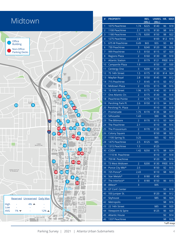| Midtown                                                               |                                  | #              | <b>PROPERTY</b>                    |                       | RES.<br>(Mo.) | UNRES. HR. MAX<br>(Mo.) |             |                   |
|-----------------------------------------------------------------------|----------------------------------|----------------|------------------------------------|-----------------------|---------------|-------------------------|-------------|-------------------|
|                                                                       |                                  | 1              | 1075 Peachtree                     | 1.74                  | \$225         | \$140                   | \$6         | \$18              |
|                                                                       |                                  | $\overline{2}$ | 1100 Peachtree                     | 2.1                   | \$170         | \$130                   | \$8         | \$16              |
|                                                                       |                                  | 3              | 1180 Peachtree                     | 1.75                  | \$200         | \$150                   | \$8         | \$22              |
| Office                                                                |                                  | $\overline{4}$ | 1275 Peachtree                     | 2.8                   |               | \$100                   | \$12        | \$18              |
| <b>Building</b>                                                       |                                  | 5              | 675 W Peachtree                    | 0.49                  | \$65          | \$55                    | \$3         | \$8               |
| Non-Office                                                            |                                  | 6              | 730 Peachtree                      | 3                     | \$240         | \$120                   | \$8         | \$16              |
| <b>Parking Decks</b>                                                  |                                  | 7              | 999 Peachtree                      | 1.5                   | \$150         | \$115                   | \$7         | \$20              |
|                                                                       |                                  | 8              | <b>Regions Plaza</b>               | $\overline{2}$        | \$160         | \$130                   | \$9         | \$18              |
|                                                                       |                                  | 9              | <b>Atlantic Station</b>            | $\overline{2}$        | \$179         | \$121                   | <b>FREE</b> | \$16              |
|                                                                       |                                  | 10             | Campanile Plaza                    | 1.9                   |               | \$150                   | \$7         | \$30              |
|                                                                       |                                  | 11             | <b>Centergy One</b>                | 3                     | \$200         | \$120                   | \$6         | \$20              |
|                                                                       |                                  | 12             | 75 14th Street                     | 1.5                   | \$175         | \$130                   | \$14        | \$24              |
|                                                                       | 18                               | 13             | <b>Mayfair Royal</b>               | 2.8                   | \$150         | \$145                   | \$4         | \$12              |
|                                                                       |                                  | 14             | 715 Peachtree                      | 1.7                   | \$145         | \$115                   | \$3         | \$12              |
|                                                                       |                                  | 15             | <b>Midtown Plaza</b>               | $\overline{2}$        | \$155         | \$115                   | \$8         | \$16              |
|                                                                       |                                  | 16             | 10 10th Street                     | 1.96                  | \$175         | \$140                   | \$5         | \$18              |
|                                                                       |                                  | 17             | One Atlantic Ctr.                  | $\overline{2}$        | \$175         | \$130                   | \$6         | \$18              |
|                                                                       |                                  | 18             | Peachtree Pointe                   | $\overline{2}$        | \$175         | \$115                   | \$5         | \$20              |
| STATION<br>3                                                          |                                  | 19             | Pershing Park Pl.                  | 2.6                   | \$150         | \$115                   | \$4         | \$10              |
|                                                                       |                                  | 20             | Pershing Pt. Plaza                 | $\overline{2}$        |               | \$110                   | \$5         | \$18              |
|                                                                       |                                  | 21             | Promenade                          | 1.75                  | \$170         | \$136                   | \$8         | \$17              |
|                                                                       | M<br>WOODRUFF<br>ARTS CENTER     | 22             | Silhouette                         | 1.43                  |               | \$90                    | \$6         | \$20              |
|                                                                       | (21)                             | 23             | The Biltmore                       | $\overline{2}$        | \$170         | \$115                   | \$3         | \$24              |
|                                                                       | 26<br>3<br>(12)25                | 24             | The Peachtree                      | 2.1                   |               | \$110                   | \$8         | \$16              |
|                                                                       | 10                               | 25             | The Proscenium                     | $\overline{2}$        | \$170         | \$130                   | \$5         | \$16              |
| 27                                                                    | 43                               | 26             | <b>Colony Square</b>               | $\overline{2}$        |               | \$150                   | \$8         | \$22              |
|                                                                       |                                  | 27             | 1100 Spring St.                    | 3.25                  |               | \$65                    | \$2         | \$10              |
| TURNER<br>BROADCASTING                                                | 16                               | 28             | 1475 Peachtree                     | 2.5                   | \$125         | \$85                    |             |                   |
|                                                                       |                                  | 29             | 1315 Peachtree                     | 1.5                   |               | \$125                   |             |                   |
|                                                                       |                                  |                | 30 CODA                            | 1.42                  | \$250         | \$175                   | \$8         | \$24              |
|                                                                       | 8th St.NW                        | 31             | 1110 W. Peachtree                  |                       |               | \$110                   | \$7         | \$18              |
| 11                                                                    | 44                               | 32             | 759 W. Peachtree                   |                       |               | \$120                   | \$6         | \$16              |
|                                                                       | 5th St NWCH<br>SQUARE            | 33<br>34       | T3 West Midtown<br>Ponce City Mkt* | $\overline{2}$<br>2.5 | \$200         | \$130<br>\$150          | \$2         | FREE \$16<br>\$15 |
| <b>GEORGIA INSTITUTE</b><br>OF TECHNOLOGY<br>39                       | (30)                             | 35             | 725 Ponce*                         | 2.43                  |               | \$110                   | \$8         | \$24              |
|                                                                       |                                  | 36             | Star Metals*                       | $\overline{2}$        | \$180         | \$140                   |             |                   |
|                                                                       | 6<br>ird St NW.                  | 37             | The Interlock*                     | 3                     | \$180         | \$150                   | \$6         | \$15              |
|                                                                       | 5<br>THE FOX<br>$3 - 1$          | 38             | 8West*                             | 3                     |               | \$95                    |             |                   |
|                                                                       | <b>All And</b><br><b>II</b> -    | 39             | GT Conf. Center                    |                       |               |                         | \$3         | \$18              |
|                                                                       | <b>BANK OF</b><br>AMERICA        | 40             | 930 Juniper St.                    |                       |               | \$120                   | \$6         | \$12              |
|                                                                       | PLAZA                            | 41             | Skyhouse                           | 0.47                  |               | \$85                    | \$6         | \$24              |
| Reserved Unreserved<br>Daily Max                                      | EMORY<br><b>UNIVERSITY</b>       | 42             | Metropolis                         |                       |               |                         | \$8         | \$16              |
| <b>High</b><br>$4\%$ $\triangle$                                      | HOSPITAL                         | 43             | 22 14th Street                     |                       |               | \$85                    | \$4         | \$20              |
| Low<br>$1\%$ $\blacktriangledown$<br><b>AVG</b><br>$12\%$ $\triangle$ |                                  | 44             | Viewpoint & Spire                  |                       |               | \$125                   | \$6         | \$20              |
|                                                                       |                                  | 45             | <b>Atlantic House</b>              |                       |               |                         | \$2         | \$14              |
| Ivan Allen Jr Blvd NW                                                 |                                  | 46             | 1337 Peachtree                     |                       |               |                         | \$8         | \$16              |
|                                                                       |                                  |                |                                    |                       |               |                         |             | *off map          |
| Parking Survey                                                        | Atlanta Urban Submarkets<br>2021 |                |                                    |                       |               |                         |             | $\overline{4}$    |

L,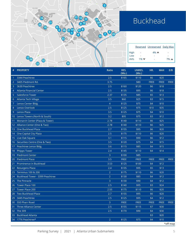

## Buckhead

|            |                            | Reserved Unreserved Daily Max |                   |
|------------|----------------------------|-------------------------------|-------------------|
| High       |                            | $4\%$ $\triangle$             |                   |
| Low        |                            |                               |                   |
| <b>AVG</b> | $1\%$ $\blacktriangledown$ |                               | $7\%$ $\triangle$ |

|                 | Pharf Rd NE                      | ៶៸៲៲           |               |                        |             |             |             |
|-----------------|----------------------------------|----------------|---------------|------------------------|-------------|-------------|-------------|
| #               | <b>PROPERTY</b>                  | Ratio          | RES.<br>(Mo.) | <b>UNRES.</b><br>(Mo.) | HR.         | <b>MAX</b>  | E/B         |
| $\mathbf{1}$    | 3344 Peachtree                   | 2.5            | \$165         | \$110                  | \$6         | \$20        |             |
| $\overline{2}$  | 3405 Piedmont Rd.                | 3.75           |               | \$80                   | <b>FREE</b> | <b>FREE</b> | <b>FREE</b> |
| 3               | 3630 Peachtree                   | 2.5            | \$160         | \$120                  | \$6         | \$18        |             |
| $\overline{4}$  | Atlanta Financial Center         | 2.5            | \$135         | \$95                   | \$6         | \$18        |             |
| 5               | <b>Salesforce Tower</b>          | 2.37           | \$135         | \$85                   | \$5         | \$13        |             |
| $6\phantom{1}6$ | Atlanta Tech Village             | 3.5            | \$60          | \$25                   | \$3         | \$15        |             |
| 7               | Lenox Center Bldg.               | $\overline{4}$ | \$125         | \$75                   | \$4         | \$10        |             |
| 8               | Lenox Overlook                   | 2.5            | \$125         | \$75                   | \$10        | \$35        |             |
| 9               | Lenox Plaza                      | 3.5            | \$125         | \$75                   | \$4         | \$10        |             |
| 10 <sup>°</sup> | Lenox Towers (North & South)     | 3.2            | \$95          | \$75                   | \$3         | \$12        |             |
| 11              | Monarch Center (Plaza & Tower)   | 2.78           | \$140         | \$110                  | \$6         | \$25        |             |
|                 | 12 Alliance Center (One & Two)   | 2.78           | \$140         | \$110                  | \$6         | \$25        |             |
|                 | 13 One Buckhead Plaza            | 2.7            | \$155         | \$95                   | \$6         | \$20        |             |
| 14              | One Capital City Plaza           | 2.5            | \$175         | \$110                  | \$6         | \$20        |             |
|                 | 15 Live Oak Square               | 3.1            | \$115         | \$90                   | \$6         | \$12        |             |
|                 | 16 Securities Centre (One & Two) | 3.5            | \$120         | \$75                   | \$4         | \$15        |             |
| 17              | Peachtree Lenox Bldg.            | 3.6            | \$115         | \$85                   | \$4         | \$15        |             |
| 18 <sup>°</sup> | <b>Phipps Tower</b>              | 2.4            | \$145         | \$110                  | \$4         | \$14        |             |
| 19              | <b>Piedmont Center</b>           | 3              | \$100         | \$85                   |             |             |             |
|                 | 20 Piedmont Place                | 3.5            | <b>FREE</b>   | <b>FREE</b>            | <b>FREE</b> | <b>FREE</b> | <b>FREE</b> |
| 21              | Prominence in Buckhead           | 3.53           | \$125         | \$100                  | \$4         | \$12        |             |
| 22              | <b>Resurgens Plaza</b>           | 2.4            | \$135         | \$95                   | \$5         | \$13        |             |
|                 | 23 Terminus 100 & 200            | $\overline{2}$ | \$175         | \$110                  | \$6         | \$20        |             |
| 24              | Buckhead Tower - 3399 Peachtree  | $\overline{2}$ | \$130         | \$85                   | \$4         | \$12        |             |
| 25              | The Pinnacle                     | 3              | \$130         | \$90                   | \$4         | \$12        |             |
|                 | 26 Tower Place 100               | 2.5            | \$140         | \$95                   | \$3         | \$24        |             |
| 27              | Tower Place 200                  | 2.55           | \$175         | \$110                  | \$6         | \$20        |             |
| 28              | <b>Two Buckhead Plaza</b>        | 2.7            | \$155         | \$95                   | \$6         | \$20        |             |
|                 | 29 3445 Peachtree                | 2.5            | \$125         | \$95                   | \$4         | \$12        |             |
|                 | 30 550 Pharr Road                | $\overline{3}$ | FREE          | FREE                   | FREE        | FREE FREE   |             |
|                 | 31 Three Alliance Center         | 2.5            | \$155         | \$115                  | \$7         | \$30        |             |
|                 | 32 The 309                       | 2.5            | \$170         | \$90                   | \$4         | \$30        |             |
|                 | 33 Buckhead Atlanta              |                |               |                        | \$3         | \$20        |             |
|                 | 34 1776 Peachtree*               | $\overline{2}$ | \$125         | \$75                   | \$4         | \$10        |             |
|                 |                                  |                |               |                        |             |             | *off map    |
|                 |                                  |                |               |                        |             |             |             |

**ARTS**